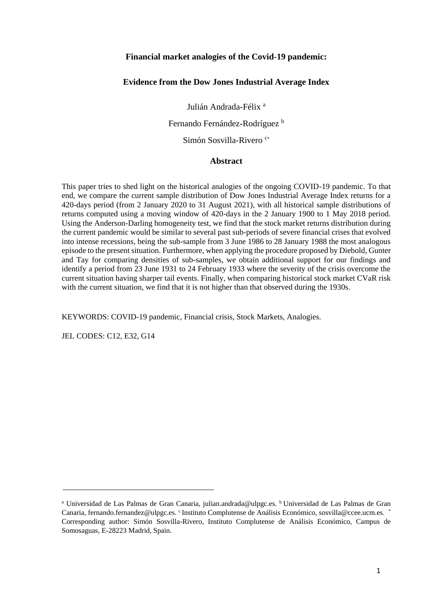## **Financial market analogies of the Covid-19 pandemic:**

## **Evidence from the Dow Jones Industrial Average Index**

Julián Andrada-Félix<sup>a</sup>

Fernando Fernández-Rodríguez b

Simón Sosvilla-Rivero<sup>c\*</sup>

### **Abstract**

This paper tries to shed light on the historical analogies of the ongoing COVID-19 pandemic. To that end, we compare the current sample distribution of Dow Jones Industrial Average Index returns for a 420-days period (from 2 January 2020 to 31 August 2021), with all historical sample distributions of returns computed using a moving window of 420-days in the 2 January 1900 to 1 May 2018 period. Using the Anderson-Darling homogeneity test, we find that the stock market returns distribution during the current pandemic would be similar to several past sub-periods of severe financial crises that evolved into intense recessions, being the sub-sample from 3 June 1986 to 28 January 1988 the most analogous episode to the present situation. Furthermore, when applying the procedure proposed by Diebold, Gunter and Tay for comparing densities of sub-samples, we obtain additional support for our findings and identify a period from 23 June 1931 to 24 February 1933 where the severity of the crisis overcome the current situation having sharper tail events. Finally, when comparing historical stock market CVaR risk with the current situation, we find that it is not higher than that observed during the 1930s.

KEYWORDS: COVID-19 pandemic, Financial crisis, Stock Markets, Analogies.

JEL CODES: C12, E32, G14

<sup>&</sup>lt;sup>a</sup> Universidad de Las Palmas de Gran Canaria, julian.andrada@ulpgc.es. <sup>b</sup> Universidad de Las Palmas de Gran Canaria, fernando.fernandez@ulpgc.es. <sup>c</sup>Instituto Complutense de Análisis Económico, sosvilla@ccee.ucm.es. Corresponding author: Simón Sosvilla-Rivero, Instituto Complutense de Análisis Económico, Campus de Somosaguas, E-28223 Madrid, Spain.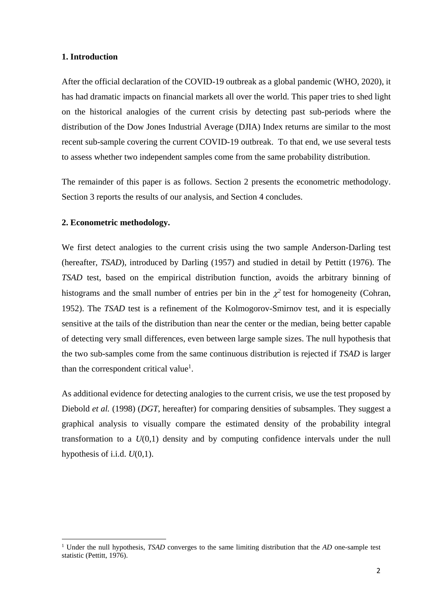## **1. Introduction**

After the official declaration of the COVID-19 outbreak as a global pandemic (WHO, 2020), it has had dramatic impacts on financial markets all over the world. This paper tries to shed light on the historical analogies of the current crisis by detecting past sub-periods where the distribution of the Dow Jones Industrial Average (DJIA) Index returns are similar to the most recent sub-sample covering the current COVID-19 outbreak. To that end, we use several tests to assess whether two independent samples come from the same probability distribution.

The remainder of this paper is as follows. Section 2 presents the econometric methodology. Section 3 reports the results of our analysis, and Section 4 concludes.

## **2. Econometric methodology.**

1

We first detect analogies to the current crisis using the two sample Anderson-Darling test (hereafter, *TSAD*), introduced by Darling (1957) and studied in detail by Pettitt (1976). The *TSAD* test, based on the empirical distribution function, avoids the arbitrary binning of histograms and the small number of entries per bin in the  $\chi^2$  test for homogeneity (Cohran, 1952). The *TSAD* test is a refinement of the Kolmogorov-Smirnov test, and it is especially sensitive at the tails of the distribution than near the center or the median, being better capable of detecting very small differences, even between large sample sizes. The null hypothesis that the two sub-samples come from the same continuous distribution is rejected if *TSAD* is larger than the correspondent critical value<sup>1</sup>.

As additional evidence for detecting analogies to the current crisis, we use the test proposed by Diebold *et al.* (1998) (*DGT*, hereafter) for comparing densities of subsamples. They suggest a graphical analysis to visually compare the estimated density of the probability integral transformation to a *U*(0,1) density and by computing confidence intervals under the null hypothesis of i.i.d.  $U(0,1)$ .

<sup>1</sup> Under the null hypothesis, *TSAD* converges to the same limiting distribution that the *AD* one-sample test statistic (Pettitt, 1976).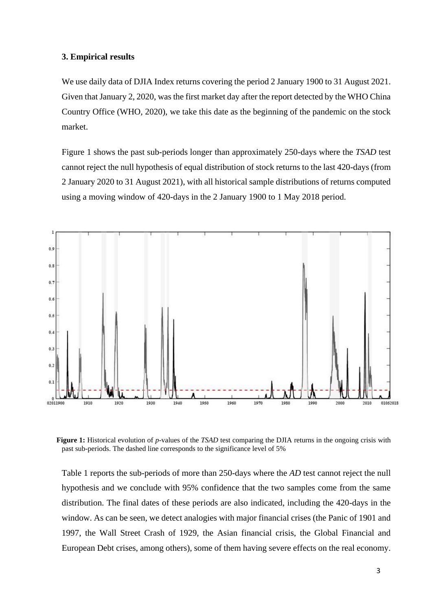### **3. Empirical results**

We use daily data of DJIA Index returns covering the period 2 January 1900 to 31 August 2021. Given that January 2, 2020, was the first market day after the report detected by the WHO China Country Office (WHO, 2020), we take this date as the beginning of the pandemic on the stock market.

Figure 1 shows the past sub-periods longer than approximately 250-days where the *TSAD* test cannot reject the null hypothesis of equal distribution of stock returns to the last 420-days (from 2 January 2020 to 31 August 2021), with all historical sample distributions of returns computed using a moving window of 420-days in the 2 January 1900 to 1 May 2018 period.



**Figure 1:** Historical evolution of *p*-values of the *TSAD* test comparing the DJIA returns in the ongoing crisis with past sub-periods. The dashed line corresponds to the significance level of 5%

Table 1 reports the sub-periods of more than 250-days where the *AD* test cannot reject the null hypothesis and we conclude with 95% confidence that the two samples come from the same distribution. The final dates of these periods are also indicated, including the 420-days in the window. As can be seen, we detect analogies with major financial crises (the Panic of 1901 and 1997, the Wall Street Crash of 1929, the Asian financial crisis, the Global Financial and European Debt crises, among others), some of them having severe effects on the real economy.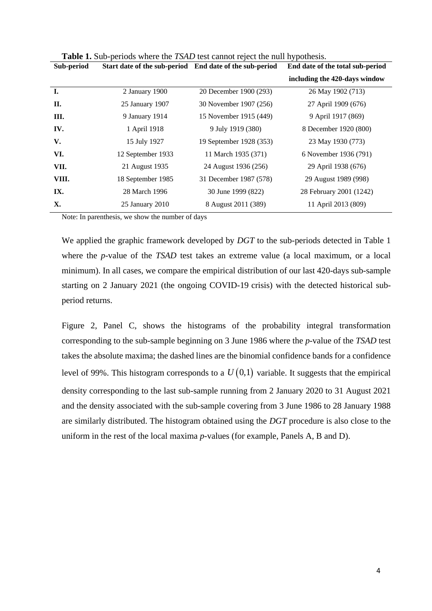| Sub-period | Start date of the sub-period End date of the sub-period |                         | End date of the total sub-period |
|------------|---------------------------------------------------------|-------------------------|----------------------------------|
|            |                                                         |                         | including the 420-days window    |
| I.         | 2 January 1900                                          | 20 December 1900 (293)  | 26 May 1902 (713)                |
| П.         | 25 January 1907                                         | 30 November 1907 (256)  | 27 April 1909 (676)              |
| Ш.         | 9 January 1914                                          | 15 November 1915 (449)  | 9 April 1917 (869)               |
| IV.        | 1 April 1918                                            | 9 July 1919 (380)       | 8 December 1920 (800)            |
| V.         | 15 July 1927                                            | 19 September 1928 (353) | 23 May 1930 (773)                |
| VI.        | 12 September 1933                                       | 11 March 1935 (371)     | 6 November 1936 (791)            |
| VII.       | 21 August 1935                                          | 24 August 1936 (256)    | 29 April 1938 (676)              |
| VIII.      | 18 September 1985                                       | 31 December 1987 (578)  | 29 August 1989 (998)             |
| IX.        | 28 March 1996                                           | 30 June 1999 (822)      | 28 February 2001 (1242)          |
| X.         | 25 January 2010                                         | 8 August 2011 (389)     | 11 April 2013 (809)              |
|            |                                                         |                         |                                  |

**Table 1.** Sub-periods where the *TSAD* test cannot reject the null hypothesis.

Note: In parenthesis, we show the number of days

We applied the graphic framework developed by *DGT* to the sub-periods detected in Table 1 where the *p*-value of the *TSAD* test takes an extreme value (a local maximum, or a local minimum). In all cases, we compare the empirical distribution of our last 420-days sub-sample starting on 2 January 2021 (the ongoing COVID-19 crisis) with the detected historical subperiod returns.

Figure 2, Panel C, shows the histograms of the probability integral transformation corresponding to the sub-sample beginning on 3 June 1986 where the *p-*value of the *TSAD* test takes the absolute maxima; the dashed lines are the binomial confidence bands for a confidence level of 99%. This histogram corresponds to a  $U(0,1)$  variable. It suggests that the empirical density corresponding to the last sub-sample running from 2 January 2020 to 31 August 2021 and the density associated with the sub-sample covering from 3 June 1986 to 28 January 1988 are similarly distributed. The histogram obtained using the *DGT* procedure is also close to the uniform in the rest of the local maxima *p-*values (for example, Panels A, B and D).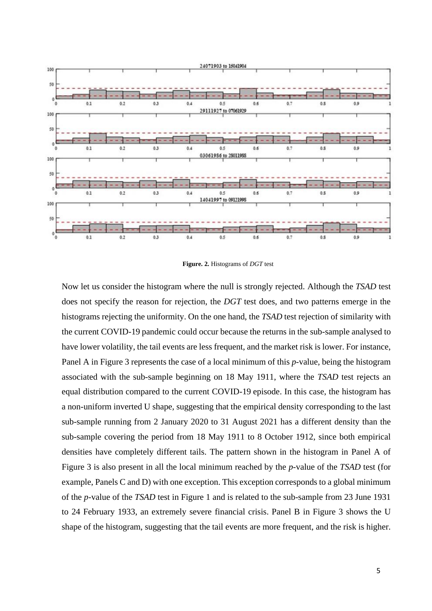

**Figure. 2.** Histograms of *DGT* test

Now let us consider the histogram where the null is strongly rejected. Although the *TSAD* test does not specify the reason for rejection, the *DGT* test does, and two patterns emerge in the histograms rejecting the uniformity. On the one hand, the *TSAD* test rejection of similarity with the current COVID-19 pandemic could occur because the returns in the sub-sample analysed to have lower volatility, the tail events are less frequent, and the market risk is lower. For instance, Panel A in Figure 3 represents the case of a local minimum of this *p-*value, being the histogram associated with the sub-sample beginning on 18 May 1911, where the *TSAD* test rejects an equal distribution compared to the current COVID-19 episode. In this case, the histogram has a non-uniform inverted U shape, suggesting that the empirical density corresponding to the last sub-sample running from 2 January 2020 to 31 August 2021 has a different density than the sub-sample covering the period from 18 May 1911 to 8 October 1912, since both empirical densities have completely different tails. The pattern shown in the histogram in Panel A of Figure 3 is also present in all the local minimum reached by the *p*-value of the *TSAD* test (for example, Panels C and D) with one exception. This exception corresponds to a global minimum of the *p-*value of the *TSAD* test in Figure 1 and is related to the sub-sample from 23 June 1931 to 24 February 1933, an extremely severe financial crisis. Panel B in Figure 3 shows the U shape of the histogram, suggesting that the tail events are more frequent, and the risk is higher.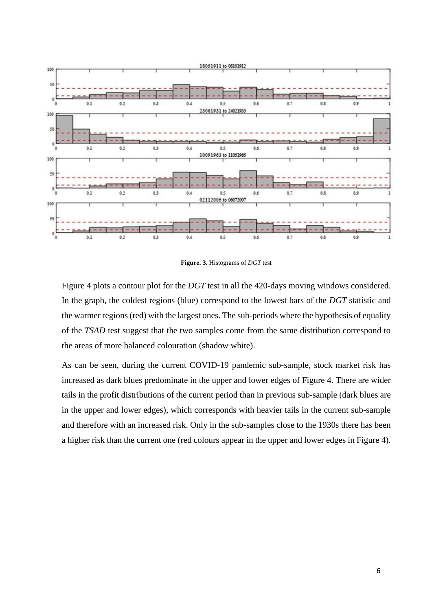![](_page_5_Figure_0.jpeg)

**Figure. 3.** Histograms of *DGT* test

Figure 4 plots a contour plot for the *DGT* test in all the 420-days moving windows considered. In the graph, the coldest regions (blue) correspond to the lowest bars of the *DGT* statistic and the warmer regions (red) with the largest ones. The sub-periods where the hypothesis of equality of the *TSAD* test suggest that the two samples come from the same distribution correspond to the areas of more balanced colouration (shadow white).

As can be seen, during the current COVID-19 pandemic sub-sample, stock market risk has increased as dark blues predominate in the upper and lower edges of Figure 4. There are wider tails in the profit distributions of the current period than in previous sub-sample (dark blues are in the upper and lower edges), which corresponds with heavier tails in the current sub-sample and therefore with an increased risk. Only in the sub-samples close to the 1930s there has been a higher risk than the current one (red colours appear in the upper and lower edges in Figure 4).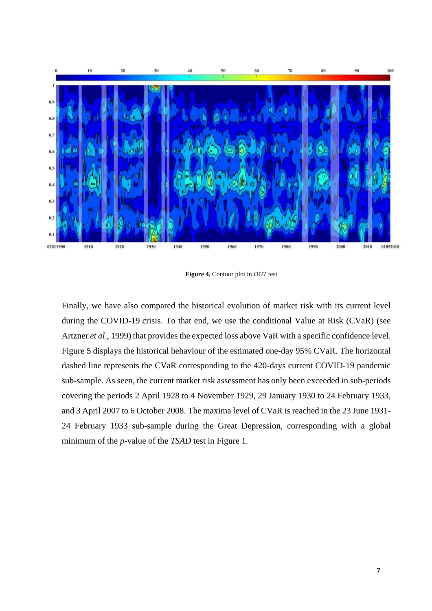![](_page_6_Figure_0.jpeg)

**Figure 4.** Contour plot in *DGT* test

Finally, we have also compared the historical evolution of market risk with its current level during the COVID-19 crisis. To that end, we use the conditional Value at Risk (CVaR) (see Artzner *et al*., 1999) that provides the expected loss above VaR with a specific confidence level. Figure 5 displays the historical behaviour of the estimated one-day 95% CVaR. The horizontal dashed line represents the CVaR corresponding to the 420-days current COVID-19 pandemic sub-sample. As seen, the current market risk assessment has only been exceeded in sub-periods covering the periods 2 April 1928 to 4 November 1929, 29 January 1930 to 24 February 1933, and 3 April 2007 to 6 October 2008. The maxima level of CVaR is reached in the 23 June 1931- 24 February 1933 sub-sample during the Great Depression, corresponding with a global minimum of the *p-*value of the *TSAD* test in Figure 1.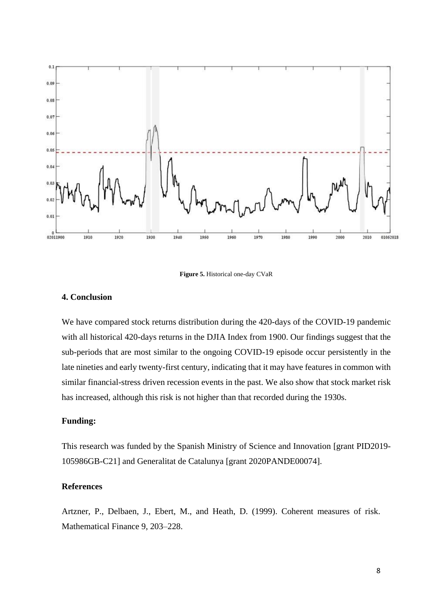![](_page_7_Figure_0.jpeg)

**Figure 5.** Historical one-day CVaR

# **4. Conclusion**

We have compared stock returns distribution during the 420-days of the COVID-19 pandemic with all historical 420-days returns in the DJIA Index from 1900. Our findings suggest that the sub-periods that are most similar to the ongoing COVID-19 episode occur persistently in the late nineties and early twenty-first century, indicating that it may have features in common with similar financial-stress driven recession events in the past. We also show that stock market risk has increased, although this risk is not higher than that recorded during the 1930s.

# **Funding:**

This research was funded by the Spanish Ministry of Science and Innovation [grant PID2019- 105986GB-C21] and Generalitat de Catalunya [grant 2020PANDE00074].

## **References**

Artzner, P., Delbaen, J., Ebert, M., and Heath, D. (1999). Coherent measures of risk. Mathematical Finance 9, 203–228.